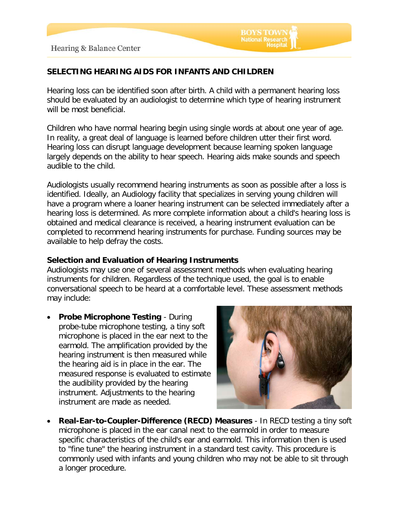# **SELECTING HEARING AIDS FOR INFANTS AND CHILDREN**

Hearing loss can be identified soon after birth. A child with a permanent hearing loss should be evaluated by an audiologist to determine which type of hearing instrument will be most beneficial.

**BOYS TOWN National Research** 

Children who have normal hearing begin using single words at about one year of age. In reality, a great deal of language is learned before children utter their first word. Hearing loss can disrupt language development because learning spoken language largely depends on the ability to hear speech. Hearing aids make sounds and speech audible to the child.

Audiologists usually recommend hearing instruments as soon as possible after a loss is identified. Ideally, an Audiology facility that specializes in serving young children will have a program where a loaner hearing instrument can be selected immediately after a hearing loss is determined. As more complete information about a child's hearing loss is obtained and medical clearance is received, a hearing instrument evaluation can be completed to recommend hearing instruments for purchase. Funding sources may be available to help defray the costs.

## **Selection and Evaluation of Hearing Instruments**

Audiologists may use one of several assessment methods when evaluating hearing instruments for children. Regardless of the technique used, the goal is to enable conversational speech to be heard at a comfortable level. These assessment methods may include:

• **Probe Microphone Testing** - During probe-tube microphone testing, a tiny soft microphone is placed in the ear next to the earmold. The amplification provided by the hearing instrument is then measured while the hearing aid is in place in the ear. The measured response is evaluated to estimate the audibility provided by the hearing instrument. Adjustments to the hearing instrument are made as needed.



• **Real-Ear-to-Coupler-Difference (RECD) Measures** - In RECD testing a tiny soft microphone is placed in the ear canal next to the earmold in order to measure specific characteristics of the child's ear and earmold. This information then is used to "fine tune" the hearing instrument in a standard test cavity. This procedure is commonly used with infants and young children who may not be able to sit through a longer procedure.